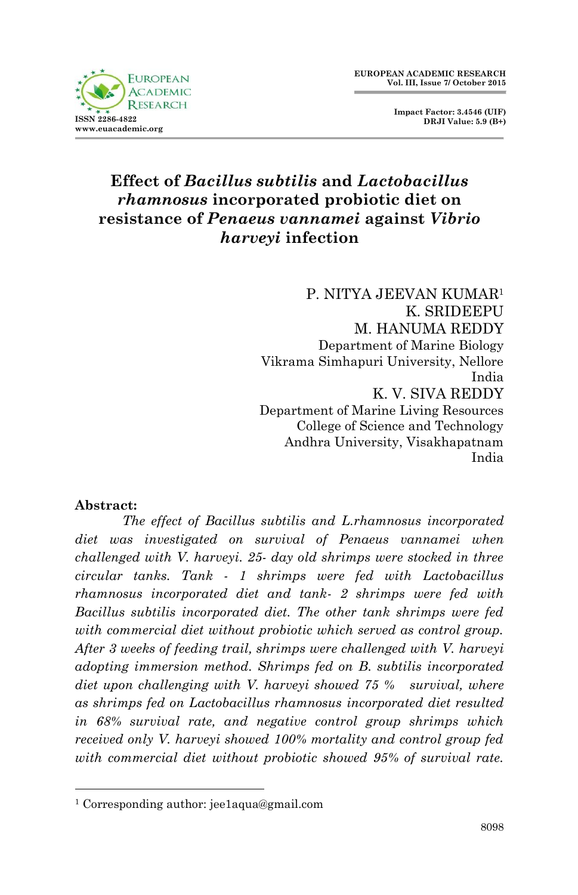

 **Impact Factor: 3.4546 (UIF) DRJI Value: 5.9 (B+)**

# **Effect of** *Bacillus subtilis* **and** *Lactobacillus rhamnosus* **incorporated probiotic diet on resistance of** *Penaeus vannamei* **against** *Vibrio harveyi* **infection**

 P. NITYA JEEVAN KUMAR<sup>1</sup> K. SRIDEEPU M. HANUMA REDDY Department of Marine Biology Vikrama Simhapuri University, Nellore India K. V. SIVA REDDY Department of Marine Living Resources College of Science and Technology Andhra University, Visakhapatnam India

#### **Abstract:**

1

*The effect of Bacillus subtilis and L.rhamnosus incorporated diet was investigated on survival of Penaeus vannamei when challenged with V. harveyi. 25- day old shrimps were stocked in three circular tanks. Tank - 1 shrimps were fed with Lactobacillus rhamnosus incorporated diet and tank- 2 shrimps were fed with Bacillus subtilis incorporated diet. The other tank shrimps were fed with commercial diet without probiotic which served as control group. After 3 weeks of feeding trail, shrimps were challenged with V. harveyi adopting immersion method. Shrimps fed on B. subtilis incorporated diet upon challenging with V. harveyi showed 75 % survival, where as shrimps fed on Lactobacillus rhamnosus incorporated diet resulted in 68% survival rate, and negative control group shrimps which received only V. harveyi showed 100% mortality and control group fed with commercial diet without probiotic showed 95% of survival rate.* 

<sup>1</sup> Corresponding author: jee1aqua@gmail.com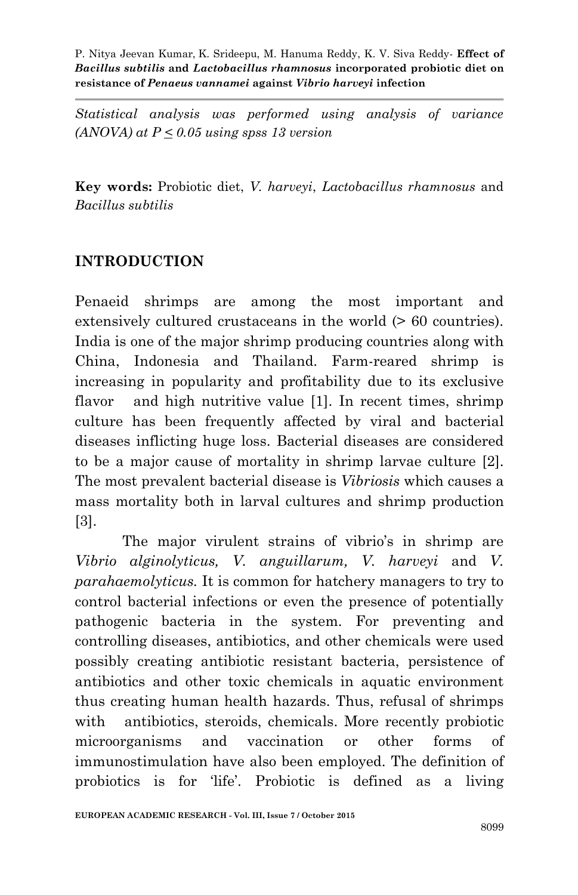*Statistical analysis was performed using analysis of variance (ANOVA) at P < 0.05 using spss 13 version*

**Key words:** Probiotic diet, *V. harveyi*, *Lactobacillus rhamnosus* and *Bacillus subtilis*

### **INTRODUCTION**

Penaeid shrimps are among the most important and extensively cultured crustaceans in the world  $(> 60$  countries). India is one of the major shrimp producing countries along with China, Indonesia and Thailand. Farm-reared shrimp is increasing in popularity and profitability due to its exclusive flavor and high nutritive value [1]. In recent times, shrimp culture has been frequently affected by viral and bacterial diseases inflicting huge loss. Bacterial diseases are considered to be a major cause of mortality in shrimp larvae culture [2]. The most prevalent bacterial disease is *Vibriosis* which causes a mass mortality both in larval cultures and shrimp production [3].

The major virulent strains of vibrio's in shrimp are *Vibrio alginolyticus, V. anguillarum, V. harveyi* and *V. parahaemolyticus.* It is common for hatchery managers to try to control bacterial infections or even the presence of potentially pathogenic bacteria in the system. For preventing and controlling diseases, antibiotics, and other chemicals were used possibly creating antibiotic resistant bacteria, persistence of antibiotics and other toxic chemicals in aquatic environment thus creating human health hazards. Thus, refusal of shrimps with antibiotics, steroids, chemicals. More recently probiotic microorganisms and vaccination or other forms of immunostimulation have also been employed. The definition of probiotics is for 'life'. Probiotic is defined as a living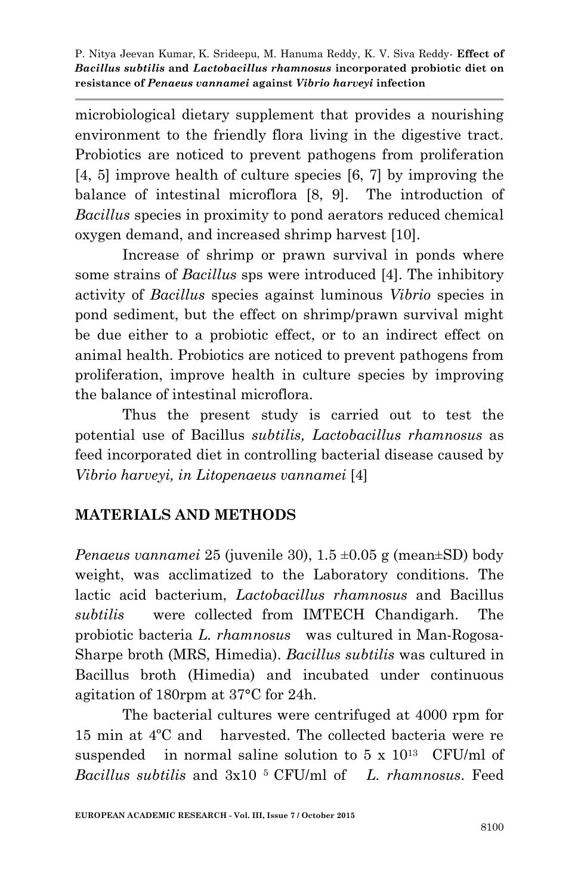microbiological dietary supplement that provides a nourishing environment to the friendly flora living in the digestive tract. Probiotics are noticed to prevent pathogens from proliferation [4, 5] improve health of culture species [6, 7] by improving the balance of intestinal microflora [8, 9]. The introduction of *Bacillus* species in proximity to pond aerators reduced chemical oxygen demand, and increased shrimp harvest [10].

Increase of shrimp or prawn survival in ponds where some strains of *Bacillus* sps were introduced [4]. The inhibitory activity of *Bacillus* species against luminous *Vibrio* species in pond sediment, but the effect on shrimp/prawn survival might be due either to a probiotic effect, or to an indirect effect on animal health. Probiotics are noticed to prevent pathogens from proliferation, improve health in culture species by improving the balance of intestinal microflora.

Thus the present study is carried out to test the potential use of Bacillus *subtilis, Lactobacillus rhamnosus* as feed incorporated diet in controlling bacterial disease caused by *Vibrio harveyi, in Litopenaeus vannamei* [4]

### **MATERIALS AND METHODS**

*Penaeus vannamei* 25 (juvenile 30), 1.5 ±0.05 g (mean±SD) body weight, was acclimatized to the Laboratory conditions. The lactic acid bacterium, *Lactobacillus rhamnosus* and Bacillus *subtilis* were collected from IMTECH Chandigarh. The probiotic bacteria *L. rhamnosus* was cultured in Man-Rogosa-Sharpe broth (MRS, Himedia). *Bacillus subtilis* was cultured in Bacillus broth (Himedia) and incubated under continuous agitation of 180rpm at 37°C for 24h.

The bacterial cultures were centrifuged at 4000 rpm for 15 min at 4ºC and harvested. The collected bacteria were re suspended in normal saline solution to  $5 \times 10^{13}$  CFU/ml of *Bacillus subtilis* and 3x10 5 CFU/ml of *L. rhamnosus*. Feed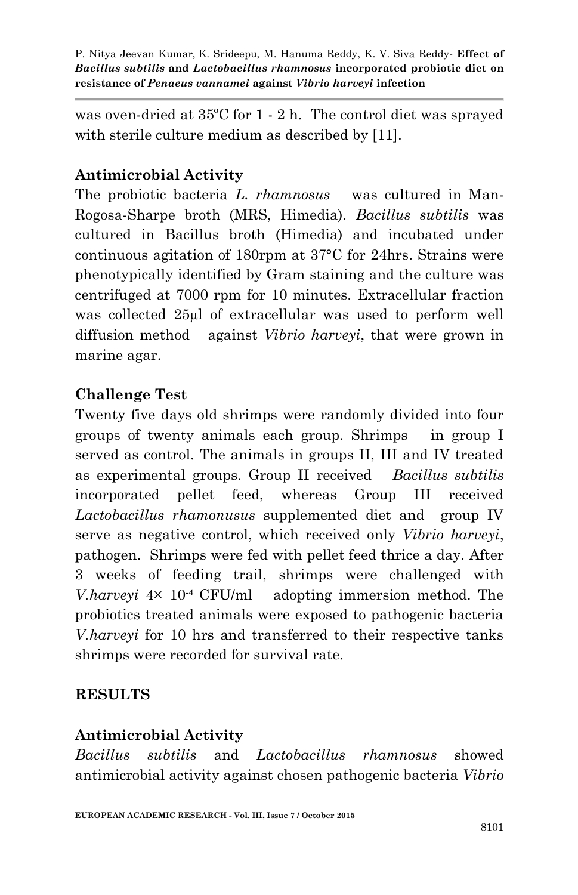was oven-dried at 35ºC for 1 - 2 h. The control diet was sprayed with sterile culture medium as described by [11].

# **Antimicrobial Activity**

The probiotic bacteria *L. rhamnosus* was cultured in Man-Rogosa-Sharpe broth (MRS, Himedia). *Bacillus subtilis* was cultured in Bacillus broth (Himedia) and incubated under continuous agitation of 180rpm at 37°C for 24hrs. Strains were phenotypically identified by Gram staining and the culture was centrifuged at 7000 rpm for 10 minutes. Extracellular fraction was collected 25µl of extracellular was used to perform well diffusion method against *Vibrio harveyi*, that were grown in marine agar.

### **Challenge Test**

Twenty five days old shrimps were randomly divided into four groups of twenty animals each group. Shrimps in group I served as control. The animals in groups II, III and IV treated as experimental groups. Group II received *Bacillus subtilis*  incorporated pellet feed, whereas Group III received *Lactobacillus rhamonusus* supplemented diet and group IV serve as negative control, which received only *Vibrio harveyi*, pathogen. Shrimps were fed with pellet feed thrice a day. After 3 weeks of feeding trail, shrimps were challenged with *V.harveyi* 4× 10-4 CFU/ml adopting immersion method. The probiotics treated animals were exposed to pathogenic bacteria *V.harveyi* for 10 hrs and transferred to their respective tanks shrimps were recorded for survival rate.

#### **RESULTS**

#### **Antimicrobial Activity**

*Bacillus subtilis* and *Lactobacillus rhamnosus* showed antimicrobial activity against chosen pathogenic bacteria *Vibrio*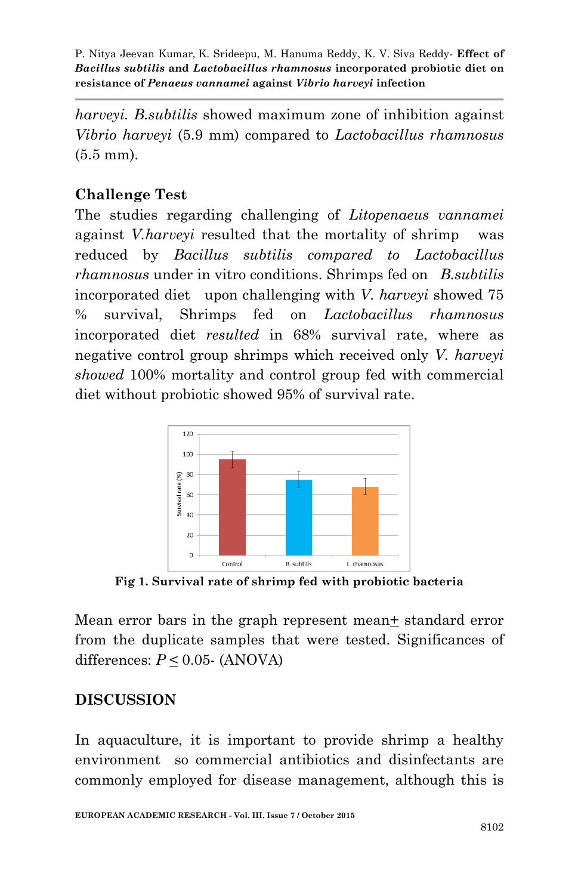*harveyi. B.subtilis* showed maximum zone of inhibition against *Vibrio harveyi* (5.9 mm) compared to *Lactobacillus rhamnosus* (5.5 mm).

# **Challenge Test**

The studies regarding challenging of *Litopenaeus vannamei*  against *V.harveyi* resulted that the mortality of shrimp was reduced by *Bacillus subtilis compared to Lactobacillus rhamnosus* under in vitro conditions. Shrimps fed on *B.subtilis*  incorporated diet upon challenging with *V. harveyi* showed 75 % survival, Shrimps fed on *Lactobacillus rhamnosus* incorporated diet *resulted* in 68% survival rate, where as negative control group shrimps which received only *V. harveyi showed* 100% mortality and control group fed with commercial diet without probiotic showed 95% of survival rate.



**Fig 1. Survival rate of shrimp fed with probiotic bacteria**

Mean error bars in the graph represent mean+ standard error from the duplicate samples that were tested. Significances of differences:  $P \le 0.05$ - (ANOVA)

### **DISCUSSION**

In aquaculture, it is important to provide shrimp a healthy environment so commercial antibiotics and disinfectants are commonly employed for disease management, although this is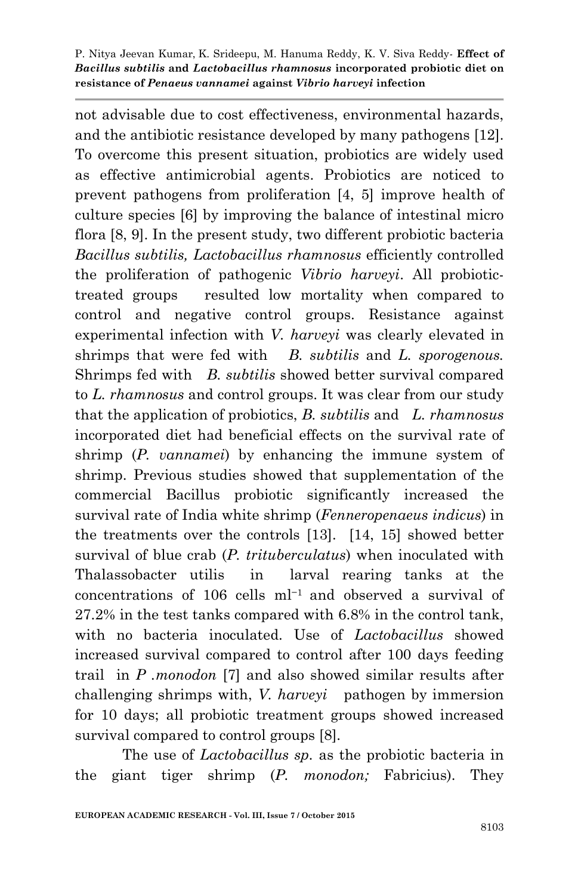not advisable due to cost effectiveness, environmental hazards, and the antibiotic resistance developed by many pathogens [12]. To overcome this present situation, probiotics are widely used as effective antimicrobial agents. Probiotics are noticed to prevent pathogens from proliferation [4, 5] improve health of culture species [6] by improving the balance of intestinal micro flora [8, 9]. In the present study, two different probiotic bacteria *Bacillus subtilis, Lactobacillus rhamnosus* efficiently controlled the proliferation of pathogenic *Vibrio harveyi*. All probiotictreated groups resulted low mortality when compared to control and negative control groups. Resistance against experimental infection with *V. harveyi* was clearly elevated in shrimps that were fed with *B. subtilis* and *L. sporogenous.*  Shrimps fed with *B. subtilis* showed better survival compared to *L. rhamnosus* and control groups. It was clear from our study that the application of probiotics, *B. subtilis* and *L. rhamnosus* incorporated diet had beneficial effects on the survival rate of shrimp (*P. vannamei*) by enhancing the immune system of shrimp. Previous studies showed that supplementation of the commercial Bacillus probiotic significantly increased the survival rate of India white shrimp (*Fenneropenaeus indicus*) in the treatments over the controls [13]. [14, 15] showed better survival of blue crab (*P. trituberculatus*) when inoculated with Thalassobacter utilis in larval rearing tanks at the concentrations of 106 cells ml−1 and observed a survival of 27.2% in the test tanks compared with 6.8% in the control tank, with no bacteria inoculated. Use of *Lactobacillus* showed increased survival compared to control after 100 days feeding trail in *P .monodon* [7] and also showed similar results after challenging shrimps with, *V. harveyi* pathogen by immersion for 10 days; all probiotic treatment groups showed increased survival compared to control groups [8].

The use of *Lactobacillus sp.* as the probiotic bacteria in the giant tiger shrimp (*P. monodon;* Fabricius). They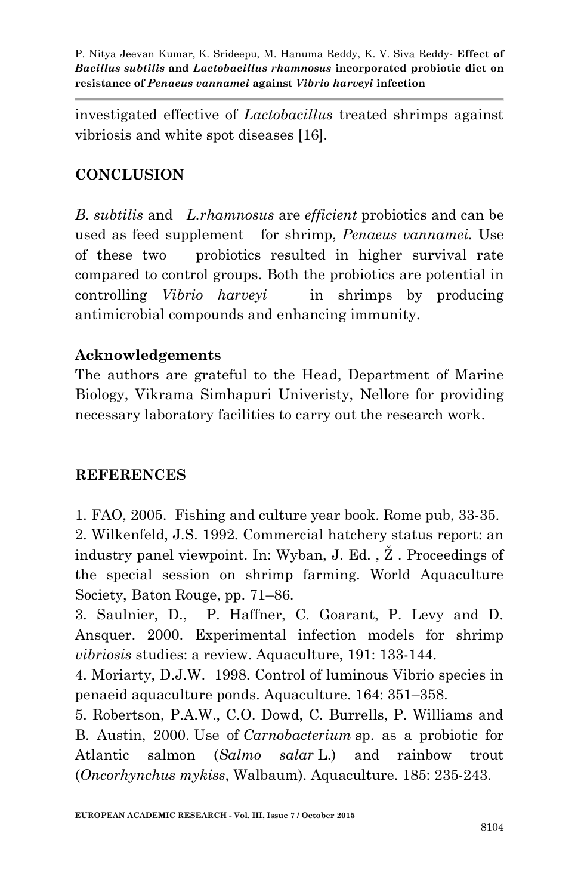investigated effective of *Lactobacillus* treated shrimps against vibriosis and white spot diseases [16].

# **CONCLUSION**

*B. subtilis* and *L.rhamnosus* are *efficient* probiotics and can be used as feed supplement for shrimp, *Penaeus vannamei.* Use of these two probiotics resulted in higher survival rate compared to control groups. Both the probiotics are potential in controlling *Vibrio harveyi* in shrimps by producing antimicrobial compounds and enhancing immunity.

### **Acknowledgements**

The authors are grateful to the Head, Department of Marine Biology, Vikrama Simhapuri Univeristy, Nellore for providing necessary laboratory facilities to carry out the research work.

#### **REFERENCES**

1. FAO, 2005. Fishing and culture year book. Rome pub, 33-35. 2. Wilkenfeld, J.S. 1992. Commercial hatchery status report: an industry panel viewpoint. In: Wyban, J. Ed. , Ž . Proceedings of the special session on shrimp farming. World Aquaculture Society, Baton Rouge, pp. 71–86.

3. Saulnier, D., P. Haffner, C. Goarant, P. Levy and D. Ansquer. 2000. Experimental infection models for shrimp *vibriosis* studies: a review. Aquaculture, 191: 133-144.

4. Moriarty, D.J.W. 1998. Control of luminous Vibrio species in penaeid aquaculture ponds. Aquaculture. 164: 351–358.

5. Robertson, P.A.W., C.O. Dowd, C. Burrells, P. Williams and B. Austin, 2000. Use of *Carnobacterium* sp. as a probiotic for Atlantic salmon (*Salmo salar* L.) and rainbow trout (*Oncorhynchus mykiss*, Walbaum). Aquaculture. 185: 235-243.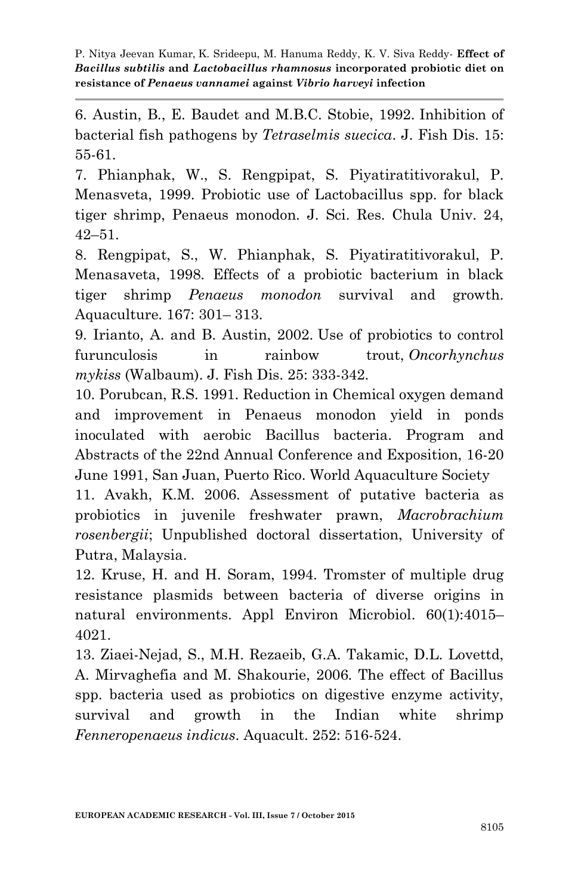6. Austin, B., E. Baudet and M.B.C. Stobie, 1992. Inhibition of bacterial fish pathogens by *Tetraselmis suecica*. J. Fish Dis. 15: 55-61.

7. Phianphak, W., S. Rengpipat, S. Piyatiratitivorakul, P. Menasveta, 1999. Probiotic use of Lactobacillus spp. for black tiger shrimp, Penaeus monodon. J. Sci. Res. Chula Univ. 24, 42–51.

8. Rengpipat, S., W. Phianphak, S. Piyatiratitivorakul, P. Menasaveta, 1998. Effects of a probiotic bacterium in black tiger shrimp *Penaeus monodon* survival and growth. Aquaculture. 167: 301– 313.

9. Irianto, A. and B. Austin, 2002. Use of probiotics to control furunculosis in rainbow trout, *Oncorhynchus mykiss* (Walbaum). J. Fish Dis. 25: 333-342.

10. Porubcan, R.S. 1991. Reduction in Chemical oxygen demand and improvement in Penaeus monodon yield in ponds inoculated with aerobic Bacillus bacteria. Program and Abstracts of the 22nd Annual Conference and Exposition, 16-20 June 1991, San Juan, Puerto Rico. World Aquaculture Society

11. Avakh, K.M. 2006. Assessment of putative bacteria as probiotics in juvenile freshwater prawn, *Macrobrachium rosenbergii*; Unpublished doctoral dissertation, University of Putra, Malaysia.

12. Kruse, H. and H. Soram, 1994. Tromster of multiple drug resistance plasmids between bacteria of diverse origins in natural environments. Appl Environ Microbiol. 60(1):4015– 4021.

13. Ziaei-Nejad, S., M.H. Rezaeib, G.A. Takamic, D.L. Lovettd, A. Mirvaghefia and M. Shakourie, 2006. The effect of Bacillus spp. bacteria used as probiotics on digestive enzyme activity, survival and growth in the Indian white shrimp *Fenneropenaeus indicus*. Aquacult. 252: 516-524.